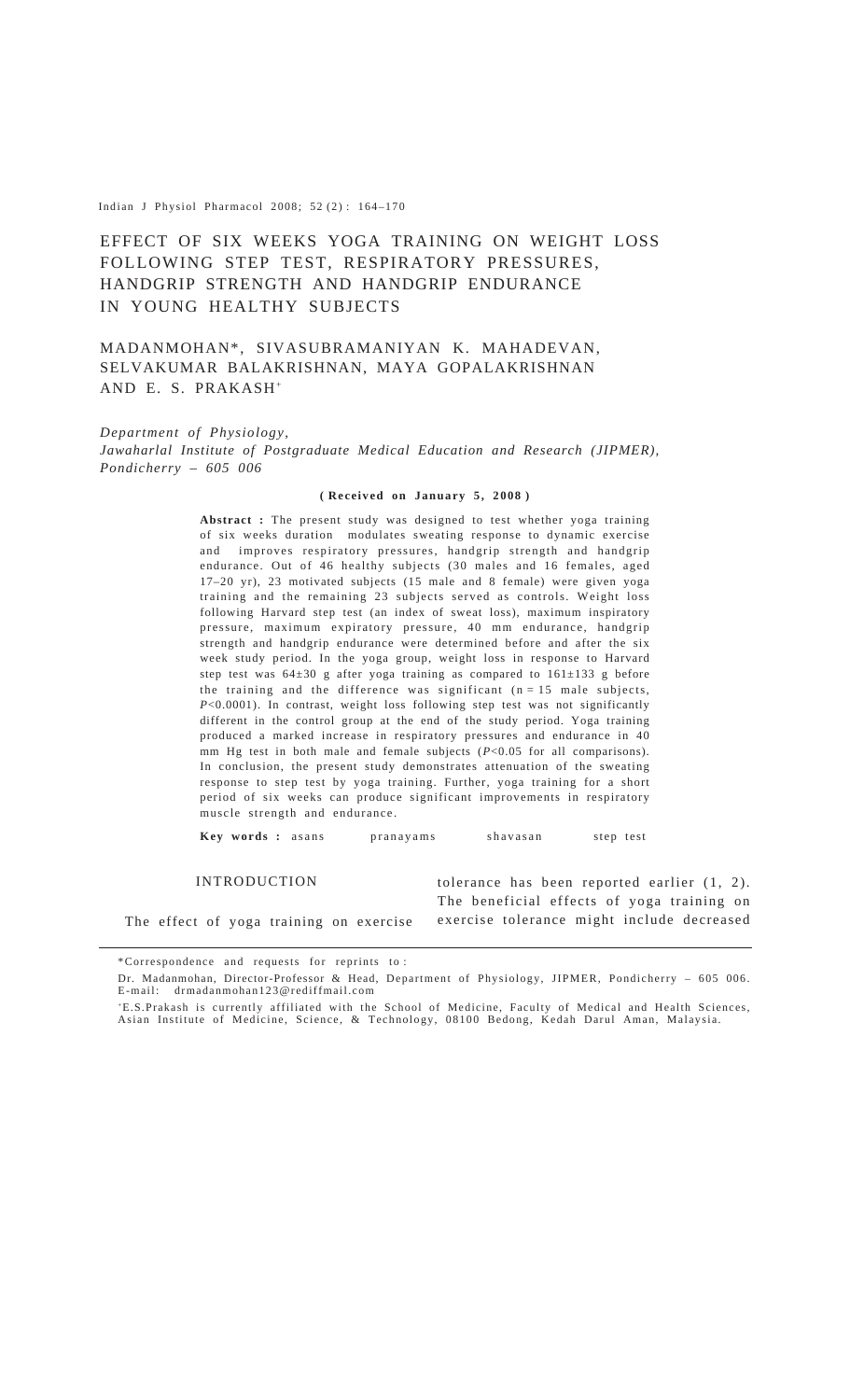Indian J Physiol Pharmacol 2008; 52(2):  $164 - 170$ 

# EFFECT OF SIX WEEKS YOGA TRAINING ON WEIGHT LOSS FOLLOWING STEP TEST, RESPIRATORY PRESSURES, HANDGRIP STRENGTH AND HANDGRIP ENDURANCE IN YOUNG HEALTHY SUBJECTS

# MADANMOHAN\*, SIVASUBRAMANIYAN K. MAHADEVAN, SELVAKUMAR BALAKRISHNAN, MAYA GOPALAKRISHNAN AND E. S. PRAKASH+

### *Department of Physiology,*

*Jawaharlal Institute of Postgraduate Medical Education and Research (JIPMER), Pondicherry – 605 006*

#### **( Received on January 5, 2008 )**

**Abstract :** The present study was designed to test whether yoga training of six weeks duration modulates sweating response to dynamic exercise and improves respiratory pressures, handgrip strength and handgrip endurance. Out of 46 healthy subjects (30 males and 16 females, aged 17–20 yr), 23 motivated subjects (15 male and 8 female) were given yoga training and the remaining 23 subjects served as controls. Weight loss following Harvard step test (an index of sweat loss), maximum inspiratory pressure, maximum expiratory pressure, 40 mm endurance, handgrip strength and handgrip endurance were determined before and after the six week study period. In the yoga group, weight loss in response to Harvard step test was 64±30 g after yoga training as compared to 161±133 g before the training and the difference was significant  $(n = 15$  male subjects, *P*<0.0001). In contrast, weight loss following step test was not significantly different in the control group at the end of the study period. Yoga training produced a marked increase in respiratory pressures and endurance in 40 mm Hg test in both male and female subjects (*P*<0.05 for all comparisons). In conclusion, the present study demonstrates attenuation of the sweating response to step test by yoga training. Further, yoga training for a short period of six weeks can produce significant improvements in respiratory muscle strength and endurance.

**Key words :** asans pranayams shavasan step test

INTRODUCTION

The effect of yoga training on exercise exercise tolerance might include decreasedtolerance has been reported earlier (1, 2). The beneficial effects of yoga training on

\*Correspondence and requests for reprints to :

Dr. Madanmohan, Director-Professor & Head, Department of Physiology, JIPMER, Pondicherry – 605 006. E-mail: drmadanmohan123@rediffmail.com

+E.S.Prakash is currently affiliated with the School of Medicine, Faculty of Medical and Health Sciences, Asian Institute of Medicine, Science, & Technology, 08100 Bedong, Kedah Darul Aman, Malaysia.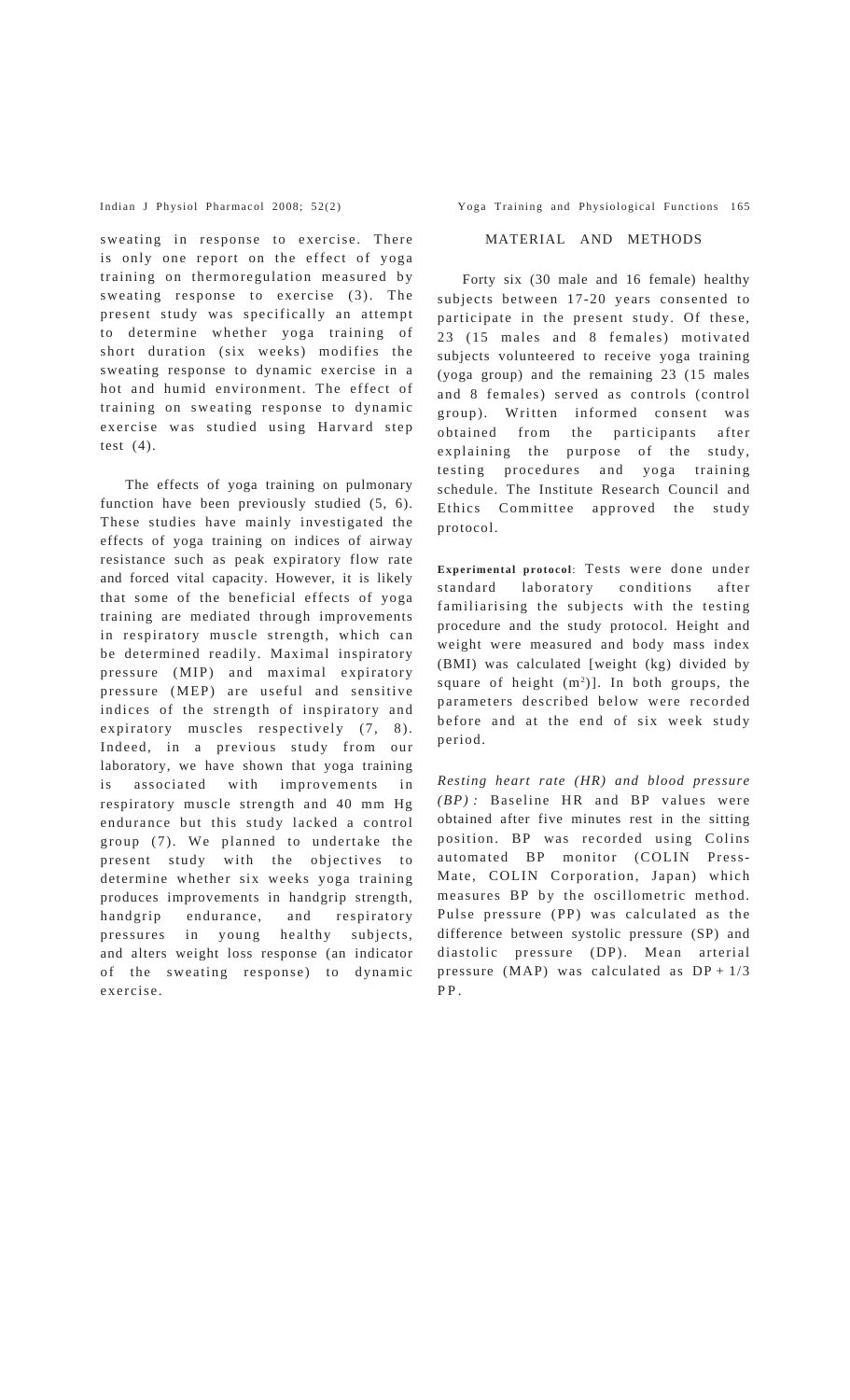sweating in response to exercise. There is only one report on the effect of yoga training on thermoregulation measured by sweating response to exercise (3). The present study was specifically an attempt to determine whether yoga training of short duration (six weeks) modifies the sweating response to dynamic exercise in a hot and humid environment. The effect of training on sweating response to dynamic exercise was studied using Harvard step test  $(4)$ .

The effects of yoga training on pulmonary function have been previously studied (5, 6). These studies have mainly investigated the effects of yoga training on indices of airway resistance such as peak expiratory flow rate and forced vital capacity. However, it is likely that some of the beneficial effects of yoga training are mediated through improvements in respiratory muscle strength, which can be determined readily. Maximal inspiratory pressure (MIP) and maximal expiratory pressure (MEP) are useful and sensitive indices of the strength of inspiratory and expiratory muscles respectively (7, 8). Indeed, in a previous study from our laboratory, we have shown that yoga training is associated with improvements in respiratory muscle strength and 40 mm Hg endurance but this study lacked a control group (7). We planned to undertake the present study with the objectives to determine whether six weeks yoga training produces improvements in handgrip strength, handgrip endurance, and respiratory pressures in young healthy subjects, and alters weight loss response (an indicator of the sweating response) to dynamic exercise.

Indian J Physiol Pharmacol 2008; 52(2) Yoga Training and Physiological Functions 165

## MATERIAL AND METHODS

Forty six (30 male and 16 female) healthy subjects between 17-20 years consented to participate in the present study. Of these, 23 (15 males and 8 females) motivated subjects volunteered to receive yoga training (yoga group) and the remaining 23 (15 males and 8 females) served as controls (control group). Written informed consent was obtained from the participants after explaining the purpose of the study, testing procedures and yoga training schedule. The Institute Research Council and Ethics Committee approved the study protocol.

**Experimental protocol**: Tests were done under standard laboratory conditions after familiarising the subjects with the testing procedure and the study protocol. Height and weight were measured and body mass index (BMI) was calculated [weight (kg) divided by square of height  $(m<sup>2</sup>)$ ]. In both groups, the parameters described below were recorded before and at the end of six week study period.

*Resting heart rate (HR) and blood pressure (BP) :* Baseline HR and BP values were obtained after five minutes rest in the sitting position. BP was recorded using Colins automated BP monitor (COLIN Press-Mate, COLIN Corporation, Japan) which measures BP by the oscillometric method. Pulse pressure (PP) was calculated as the difference between systolic pressure (SP) and diastolic pressure (DP). Mean arterial pressure (MAP) was calculated as  $DP + 1/3$ PP.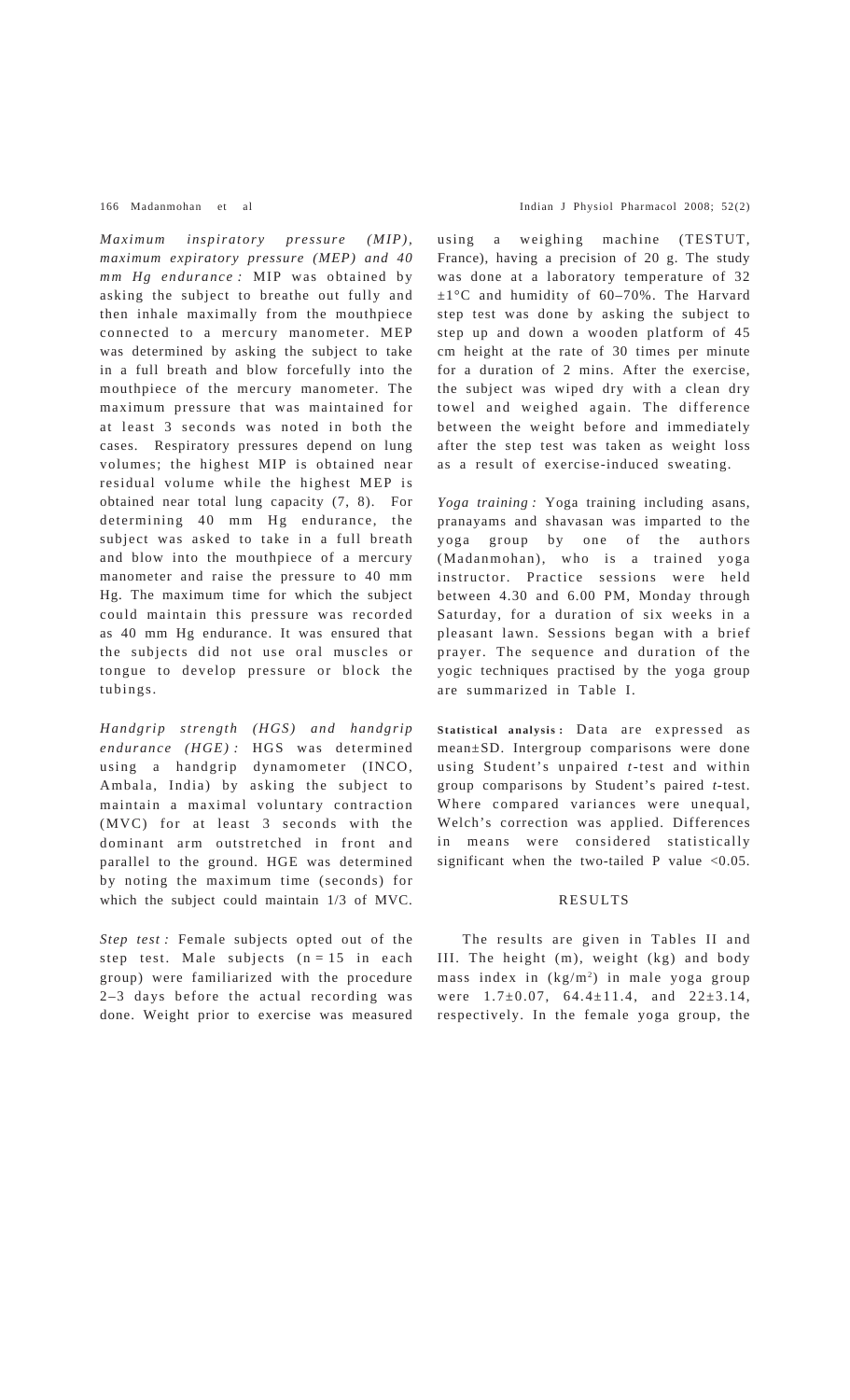*Maximum inspiratory pressure (MIP), maximum expiratory pressure (MEP) and 40 mm Hg endurance :* MIP was obtained by asking the subject to breathe out fully and then inhale maximally from the mouthpiece connected to a mercury manometer. MEP was determined by asking the subject to take in a full breath and blow forcefully into the mouthpiece of the mercury manometer. The maximum pressure that was maintained for at least 3 seconds was noted in both the cases. Respiratory pressures depend on lung volumes; the highest MIP is obtained near residual volume while the highest MEP is obtained near total lung capacity (7, 8). For determining 40 mm Hg endurance, the subject was asked to take in a full breath and blow into the mouthpiece of a mercury manometer and raise the pressure to 40 mm Hg. The maximum time for which the subject could maintain this pressure was recorded as 40 mm Hg endurance. It was ensured that the subjects did not use oral muscles or tongue to develop pressure or block the tubings.

*Handgrip strength (HGS) and handgrip endurance (HGE) :* HGS was determined using a handgrip dynamometer (INCO, Ambala, India) by asking the subject to maintain a maximal voluntary contraction (MVC) for at least 3 seconds with the dominant arm outstretched in front and parallel to the ground. HGE was determined by noting the maximum time (seconds) for which the subject could maintain 1/3 of MVC.

*Step test :* Female subjects opted out of the step test. Male subjects  $(n = 15$  in each group) were familiarized with the procedure 2–3 days before the actual recording was done. Weight prior to exercise was measured

#### 166 Madanmohan et al Indian J Physiol Pharmacol 2008; 52(2)

using a weighing machine (TESTUT, France), having a precision of 20 g. The study was done at a laboratory temperature of 32 ±1°C and humidity of 60–70%. The Harvard step test was done by asking the subject to step up and down a wooden platform of 45 cm height at the rate of 30 times per minute for a duration of 2 mins. After the exercise, the subject was wiped dry with a clean dry towel and weighed again. The difference between the weight before and immediately after the step test was taken as weight loss as a result of exercise-induced sweating.

*Yoga training :* Yoga training including asans, pranayams and shavasan was imparted to the yoga group by one of the authors (Madanmohan), who is a trained yoga instructor. Practice sessions were held between 4.30 and 6.00 PM, Monday through Saturday, for a duration of six weeks in a pleasant lawn. Sessions began with a brief prayer. The sequence and duration of the yogic techniques practised by the yoga group are summarized in Table I.

**Statistical analysis :** Data are expressed as mean±SD. Intergroup comparisons were done using Student's unpaired *t*-test and within group comparisons by Student's paired *t-*test. Where compared variances were unequal, Welch's correction was applied. Differences in means were considered statistically significant when the two-tailed P value  $< 0.05$ .

## RESULTS

The results are given in Tables II and III. The height (m), weight (kg) and body mass index in (kg/m2) in male yoga group were 1.7±0.07, 64.4±11.4, and 22±3.14, respectively. In the female yoga group, the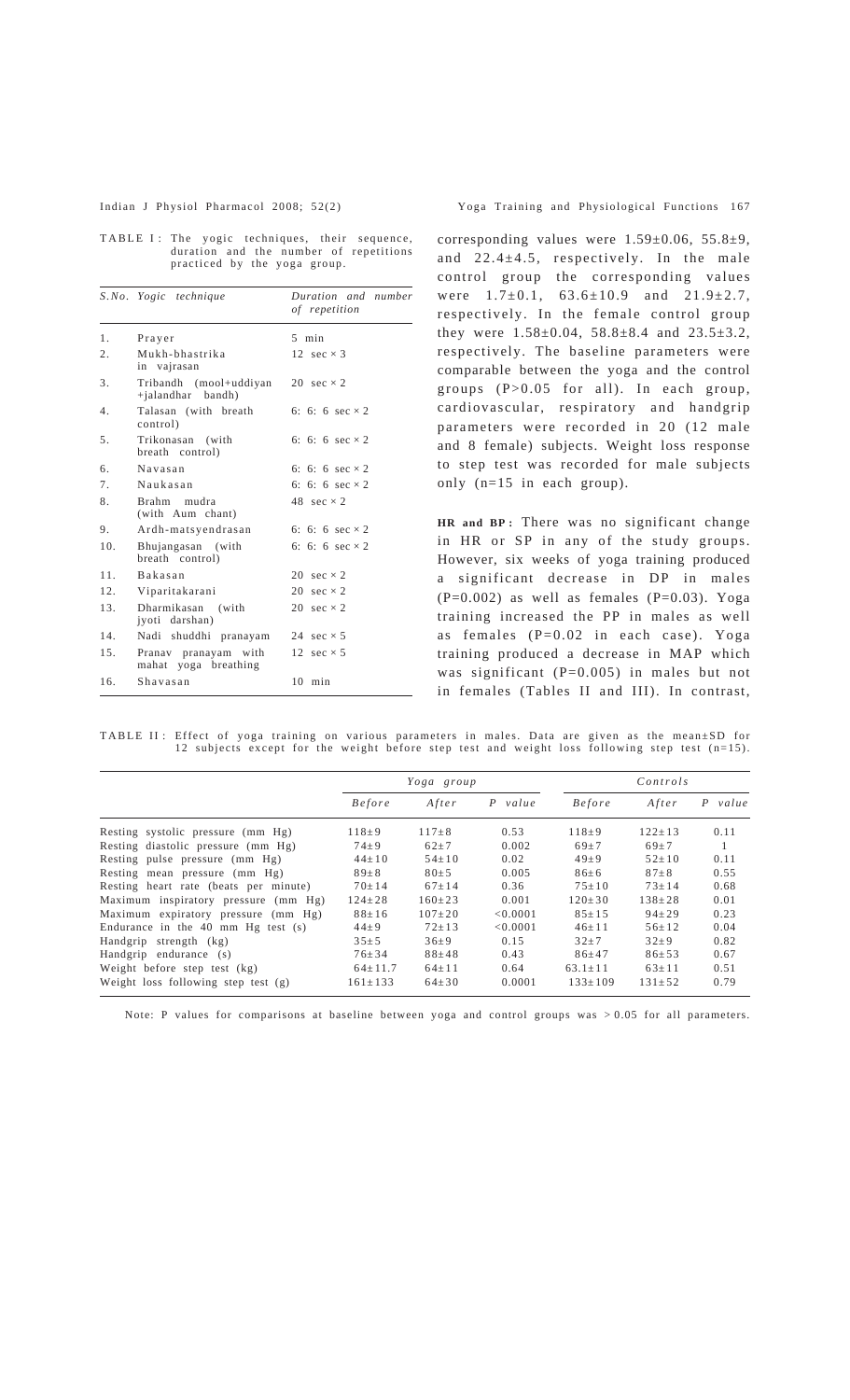| TABLE I: The yogic techniques, their sequence, |                              |  |  |                                        |
|------------------------------------------------|------------------------------|--|--|----------------------------------------|
|                                                |                              |  |  | duration and the number of repetitions |
|                                                | practiced by the yoga group. |  |  |                                        |

|     | S.No. Yogic technique                        | Duration and number<br>of repetition |
|-----|----------------------------------------------|--------------------------------------|
| 1.  | Prayer                                       | $5$ min                              |
| 2.  | Mukh-bhastrika<br>in vajrasan                | 12 $sec \times 3$                    |
| 3.  | Tribandh (mool+uddiyan<br>+jalandhar bandh)  | 20 $sec \times 2$                    |
| 4.  | Talasan (with breath<br>control)             | 6: 6: 6 $sec \times 2$               |
| 5.  | Trikonasan (with<br>breath control)          | 6: 6: 6 $sec \times 2$               |
| 6.  | Navasan                                      | 6: 6: 6 $sec \times 2$               |
| 7.  | Naukasan                                     | 6: 6: 6 $sec \times 2$               |
| 8.  | Brahm mudra<br>(with Aum chant)              | 48 $sec \times 2$                    |
| 9.  | Ardh-matsyendrasan                           | 6: 6: 6 $sec \times 2$               |
| 10. | Bhujangasan (with<br>breath control)         | 6: 6: 6 $sec \times 2$               |
| 11  | <b>Bakasan</b>                               | 20 $sec \times 2$                    |
| 12. | Viparitakarani                               | 20 $sec \times 2$                    |
| 13. | Dharmikasan (with<br>jyoti darshan)          | 20 $sec \times 2$                    |
| 14. | Nadi shuddhi pranayam                        | 24 $sec \times 5$                    |
| 15. | Pranav pranayam with<br>mahat yoga breathing | 12 $sec \times 5$                    |
| 16. | Shavasan                                     | 10<br>min                            |

corresponding values were  $1.59\pm0.06$ ,  $55.8\pm9$ , and 22.4±4.5, respectively. In the male control group the corresponding values were  $1.7\pm0.1$ ,  $63.6\pm10.9$  and  $21.9\pm2.7$ , respectively. In the female control group they were 1.58±0.04, 58.8±8.4 and 23.5±3.2, respectively. The baseline parameters were comparable between the yoga and the control groups (P>0.05 for all). In each group, cardiovascular, respiratory and handgrip parameters were recorded in 20 (12 male and 8 female) subjects. Weight loss response to step test was recorded for male subjects only (n=15 in each group).

**HR and BP :** There was no significant change in HR or SP in any of the study groups. However, six weeks of yoga training produced a significant decrease in DP in males  $(P=0.002)$  as well as females  $(P=0.03)$ . Yoga training increased the PP in males as well as females (P=0.02 in each case). Yoga training produced a decrease in MAP which was significant  $(P=0.005)$  in males but not in females (Tables II and III). In contrast,

TABLE II : Effect of yoga training on various parameters in males. Data are given as the mean±SD for 12 subjects except for the weight before step test and weight loss following step test (n=15).

|                                              | Yoga group    |              |           | Controls      |              |           |  |
|----------------------------------------------|---------------|--------------|-----------|---------------|--------------|-----------|--|
|                                              | <b>Before</b> | After        | $P$ value | <i>Before</i> | After        | $P$ value |  |
| Resting systolic pressure (mm Hg)            | $118 + 9$     | $117 \pm 8$  | 0.53      | $118 \pm 9$   | $122 \pm 13$ | 0.11      |  |
| Resting diastolic pressure (mm Hg)           | $74 \pm 9$    | $62+7$       | 0.002     | $69 + 7$      | $69 + 7$     | -1        |  |
| Resting pulse pressure (mm Hg)               | $44 \pm 10$   | $54 \pm 10$  | 0.02      | $49\pm9$      | $52 \pm 10$  | 0.11      |  |
| Resting mean pressure (mm Hg)                | $89\pm8$      | $80 \pm 5$   | 0.005     | $86 + 6$      | $87 + 8$     | 0.55      |  |
| Resting heart rate (beats per minute)        | $70 \pm 14$   | $67 \pm 14$  | 0.36      | $75 \pm 10$   | $73 \pm 14$  | 0.68      |  |
| Maximum inspiratory pressure (mm Hg)         | $124 \pm 28$  | $160 \pm 23$ | 0.001     | $120 \pm 30$  | $138 + 28$   | 0.01      |  |
| Maximum expiratory pressure (mm Hg)          | $88 \pm 16$   | $107 \pm 20$ | < 0.0001  | $85 \pm 15$   | $94 \pm 29$  | 0.23      |  |
| Endurance in the $40 \text{ mm}$ Hg test (s) | $44 + 9$      | $72+13$      | < 0.0001  | $46+11$       | $56+12$      | 0.04      |  |
| Handgrip strength (kg)                       | $35 \pm 5$    | $36 \pm 9$   | 0.15      | $32+7$        | $32\pm9$     | 0.82      |  |
| Handgrip endurance (s)                       | $76 \pm 34$   | $88 + 48$    | 0.43      | $86 \pm 47$   | $86 \pm 53$  | 0.67      |  |
| Weight before step test (kg)                 | $64 \pm 11.7$ | $64 \pm 11$  | 0.64      | $63.1 + 11$   | $63+11$      | 0.51      |  |
| Weight loss following step test $(g)$        | $161 \pm 133$ | $64 \pm 30$  | 0.0001    | $133 \pm 109$ | $131 \pm 52$ | 0.79      |  |

Note: P values for comparisons at baseline between yoga and control groups was > 0.05 for all parameters.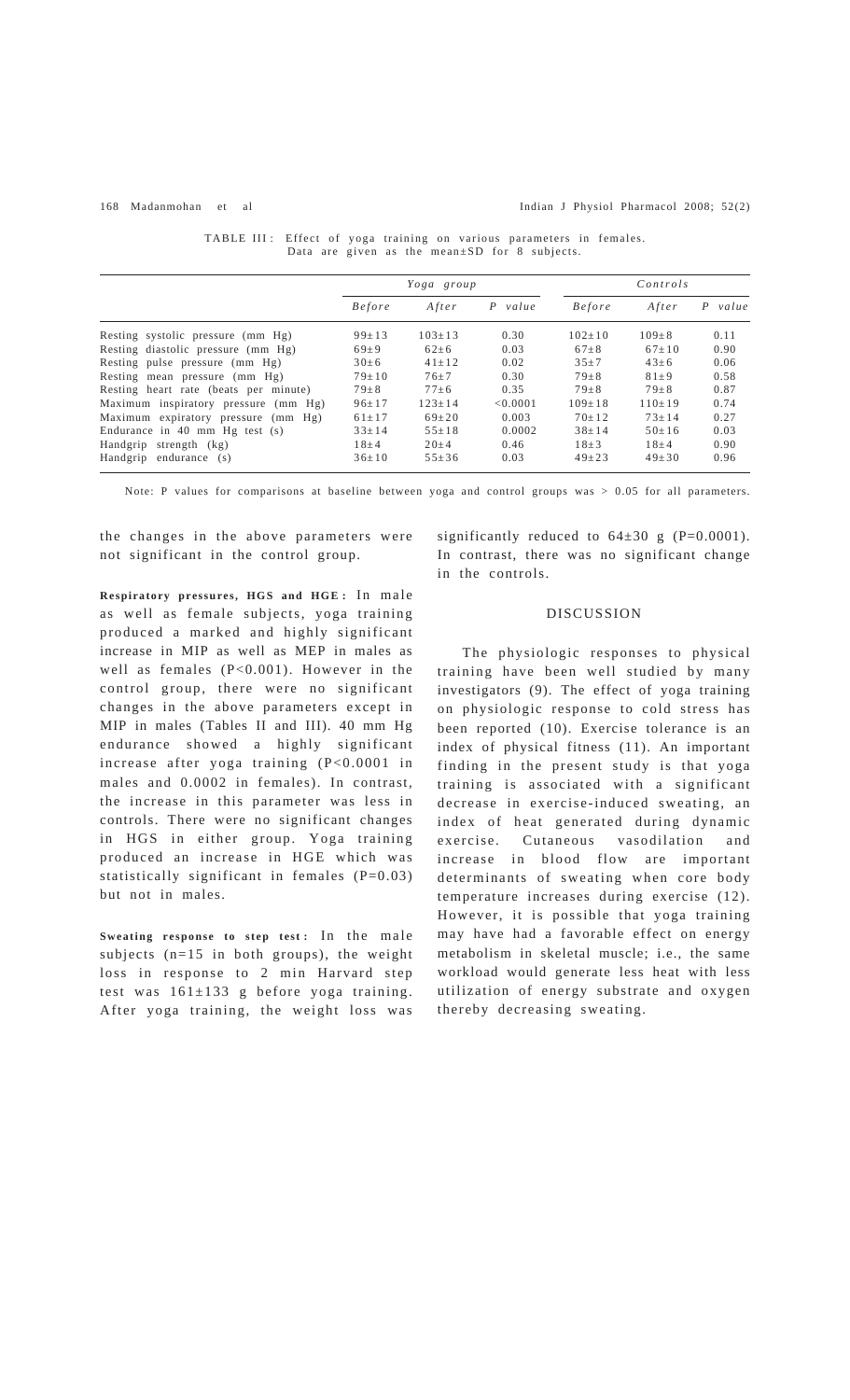Handgrip endurance  $(s)$ 

#### 168 Madanmohan et al Indian J Physiol Pharmacol 2008; 52(2)

| $D$ and any given as the ineall support of subjects. |               |              |          |               |              |            |  |  |
|------------------------------------------------------|---------------|--------------|----------|---------------|--------------|------------|--|--|
|                                                      | Yoga group    |              |          |               | Controls     |            |  |  |
|                                                      | <i>Before</i> | After        | P value  | <i>Before</i> | After        | value<br>P |  |  |
| Resting systolic pressure (mm Hg)                    | $99 \pm 13$   | $103 \pm 13$ | 0.30     | $102 \pm 10$  | $109 \pm 8$  | 0.11       |  |  |
| Resting diastolic pressure (mm Hg)                   | $69 + 9$      | $62 \pm 6$   | 0.03     | $67 + 8$      | $67+10$      | 0.90       |  |  |
| Resting pulse pressure (mm Hg)                       | $30 \pm 6$    | $41+12$      | 0.02     | $35 + 7$      | $43 \pm 6$   | 0.06       |  |  |
| Resting mean pressure (mm Hg)                        | $79 \pm 10$   | $76 \pm 7$   | 0.30     | $79 + 8$      | $81 + 9$     | 0.58       |  |  |
| Resting heart rate (beats per minute)                | $79 \pm 8$    | $77 + 6$     | 0.35     | $79 + 8$      | $79 + 8$     | 0.87       |  |  |
| Maximum inspiratory pressure (mm Hg)                 | $96 \pm 17$   | $123 \pm 14$ | < 0.0001 | $109 \pm 18$  | $110 \pm 19$ | 0.74       |  |  |
| Maximum expiratory pressure (mm Hg)                  | $61 \pm 17$   | $69 \pm 20$  | 0.003    | $70 \pm 12$   | $73 \pm 14$  | 0.27       |  |  |
| Endurance in $40 \text{ mm}$ Hg test $(s)$           | $33 \pm 14$   | $55 \pm 18$  | 0.0002   | $38 \pm 14$   | $50 \pm 16$  | 0.03       |  |  |
| Handgrip strength (kg)                               | $18 + 4$      | $20 \pm 4$   | 0.46     | $18 \pm 3$    | $18 + 4$     | 0.90       |  |  |

Handgrip strength (kg) 18±4 20±4 0.46 18±3 18±4 0.90

| TABLE III: Effect of yoga training on various parameters in females. |  |                                                     |  |
|----------------------------------------------------------------------|--|-----------------------------------------------------|--|
|                                                                      |  | Data are given as the mean $\pm SD$ for 8 subjects. |  |

Note: P values for comparisons at baseline between yoga and control groups was > 0.05 for all parameters.

the changes in the above parameters were not significant in the control group.

**Respiratory pressures, HGS and HGE :** In male as well as female subjects, yoga training produced a marked and highly significant increase in MIP as well as MEP in males as well as females (P<0.001). However in the control group, there were no significant changes in the above parameters except in MIP in males (Tables II and III). 40 mm Hg endurance showed a highly significant increase after yoga training (P<0.0001 in males and 0.0002 in females). In contrast, the increase in this parameter was less in controls. There were no significant changes in HGS in either group. Yoga training produced an increase in HGE which was statistically significant in females  $(P=0.03)$ but not in males.

Sweating response to step test: In the male subjects (n=15 in both groups), the weight loss in response to 2 min Harvard step test was 161±133 g before yoga training. After yoga training, the weight loss was

significantly reduced to  $64\pm30$  g (P=0.0001). In contrast, there was no significant change in the controls.

## DISCUSSION

The physiologic responses to physical training have been well studied by many investigators (9). The effect of yoga training on physiologic response to cold stress has been reported (10). Exercise tolerance is an index of physical fitness (11). An important finding in the present study is that yoga training is associated with a significant decrease in exercise-induced sweating, an index of heat generated during dynamic exercise. Cutaneous vasodilation and increase in blood flow are important determinants of sweating when core body temperature increases during exercise (12). However, it is possible that yoga training may have had a favorable effect on energy metabolism in skeletal muscle; i.e., the same workload would generate less heat with less utilization of energy substrate and oxygen thereby decreasing sweating.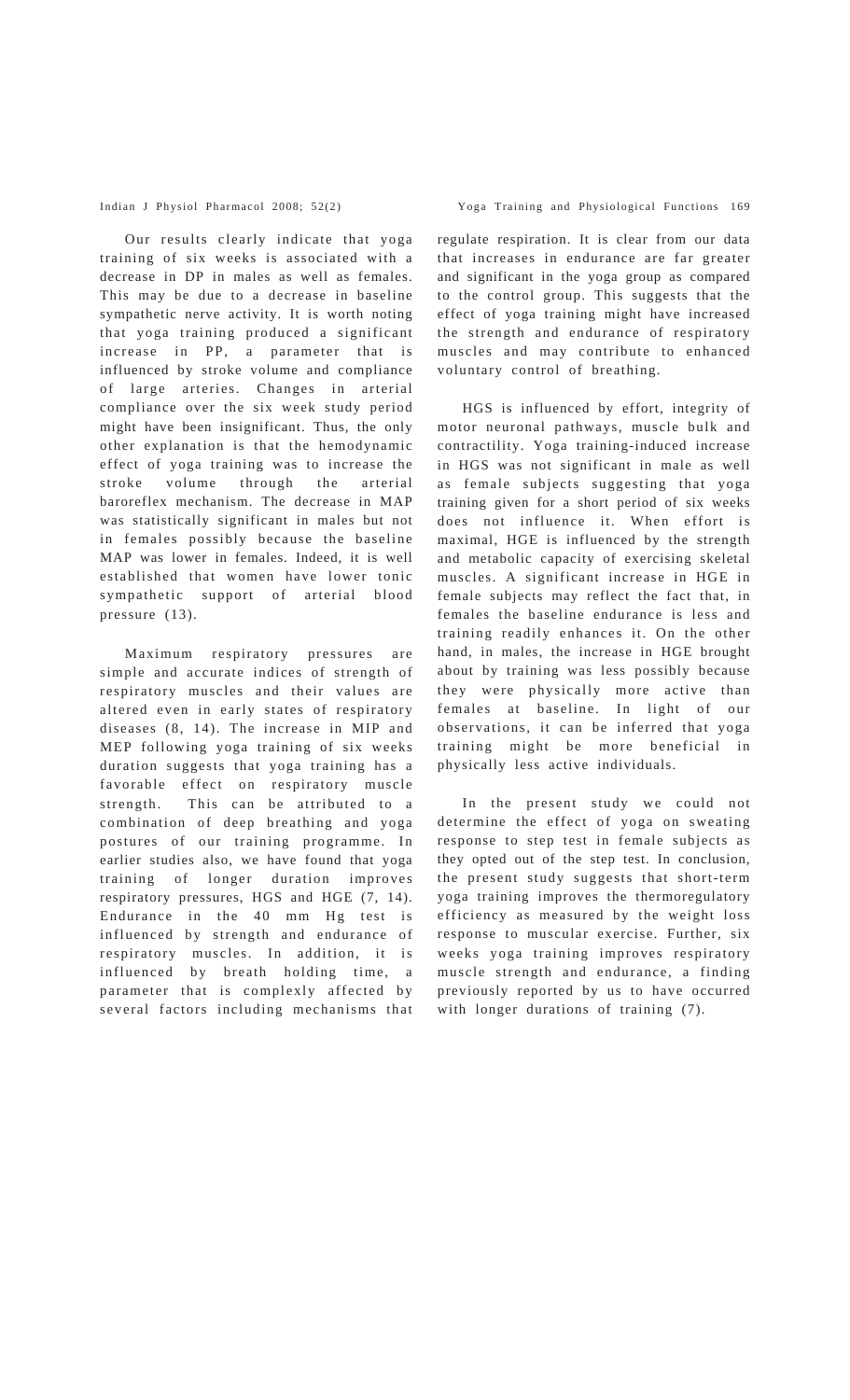Our results clearly indicate that yoga training of six weeks is associated with a decrease in DP in males as well as females. This may be due to a decrease in baseline sympathetic nerve activity. It is worth noting that yoga training produced a significant increase in PP, a parameter that is influenced by stroke volume and compliance of large arteries. Changes in arterial compliance over the six week study period might have been insignificant. Thus, the only other explanation is that the hemodynamic effect of yoga training was to increase the stroke volume through the arterial baroreflex mechanism. The decrease in MAP was statistically significant in males but not in females possibly because the baseline MAP was lower in females. Indeed, it is well established that women have lower tonic sympathetic support of arterial blood pressure (13).

Maximum respiratory pressures are simple and accurate indices of strength of respiratory muscles and their values are altered even in early states of respiratory diseases (8, 14). The increase in MIP and MEP following yoga training of six weeks duration suggests that yoga training has a favorable effect on respiratory muscle strength. This can be attributed to a combination of deep breathing and yoga postures of our training programme. In earlier studies also, we have found that yoga training of longer duration improves respiratory pressures, HGS and HGE (7, 14). Endurance in the 40 mm Hg test is influenced by strength and endurance of respiratory muscles. In addition, it is influenced by breath holding time, a parameter that is complexly affected by several factors including mechanisms that regulate respiration. It is clear from our data that increases in endurance are far greater and significant in the yoga group as compared to the control group. This suggests that the effect of yoga training might have increased the strength and endurance of respiratory muscles and may contribute to enhanced voluntary control of breathing.

HGS is influenced by effort, integrity of motor neuronal pathways, muscle bulk and contractility. Yoga training-induced increase in HGS was not significant in male as well as female subjects suggesting that yoga training given for a short period of six weeks does not influence it. When effort is maximal, HGE is influenced by the strength and metabolic capacity of exercising skeletal muscles. A significant increase in HGE in female subjects may reflect the fact that, in females the baseline endurance is less and training readily enhances it. On the other hand, in males, the increase in HGE brought about by training was less possibly because they were physically more active than females at baseline. In light of our observations, it can be inferred that yoga training might be more beneficial in physically less active individuals.

In the present study we could not determine the effect of yoga on sweating response to step test in female subjects as they opted out of the step test. In conclusion, the present study suggests that short-term yoga training improves the thermoregulatory efficiency as measured by the weight loss response to muscular exercise. Further, six weeks yoga training improves respiratory muscle strength and endurance, a finding previously reported by us to have occurred with longer durations of training (7).